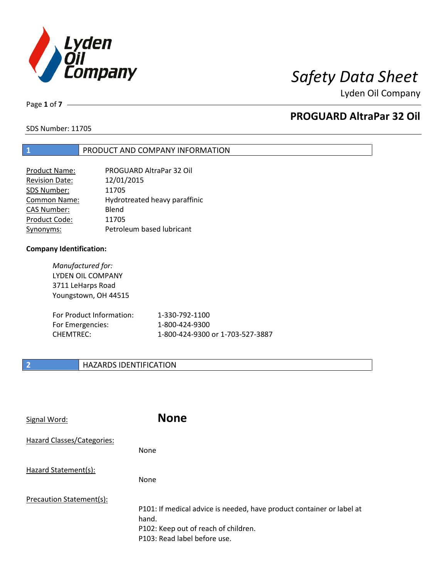

Lyden Oil Company

Page **1** of **7**

# **PROGUARD AltraPar 32 Oil**

SDS Number: 11705

## **1** PRODUCT AND COMPANY INFORMATION

| PROGUARD AltraPar 32 Oil      |
|-------------------------------|
| 12/01/2015                    |
| 11705                         |
| Hydrotreated heavy paraffinic |
| Blend                         |
| 11705                         |
| Petroleum based lubricant     |
|                               |

### **Company Identification:**

*Manufactured for:* LYDEN OIL COMPANY 3711 LeHarps Road Youngstown, OH 44515

| For Product Information: | 1-330-792-1100                   |
|--------------------------|----------------------------------|
| For Emergencies:         | 1-800-424-9300                   |
| CHEMTREC:                | 1-800-424-9300 or 1-703-527-3887 |

# **2 HAZARDS IDENTIFICATION**

| Signal Word:               | <b>None</b>                                                                                                                                            |
|----------------------------|--------------------------------------------------------------------------------------------------------------------------------------------------------|
| Hazard Classes/Categories: | <b>None</b>                                                                                                                                            |
| Hazard Statement(s):       | <b>None</b>                                                                                                                                            |
| Precaution Statement(s):   | P101: If medical advice is needed, have product container or label at<br>hand.<br>P102: Keep out of reach of children.<br>P103: Read label before use. |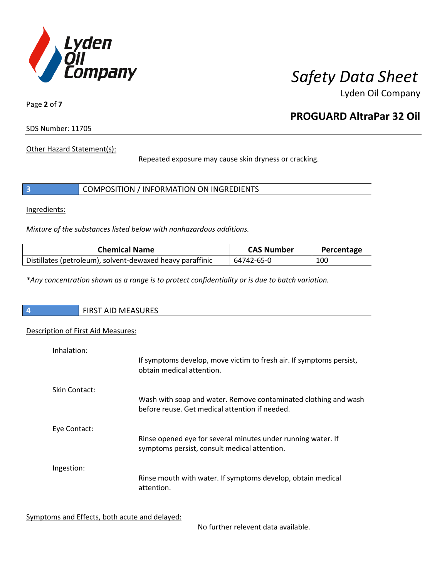

Lyden Oil Company

Page **2** of **7**

# **PROGUARD AltraPar 32 Oil**

SDS Number: 11705

Other Hazard Statement(s):

Repeated exposure may cause skin dryness or cracking.

|  | COMPOSITION / INFORMATION ON INGREDIENTS |  |
|--|------------------------------------------|--|
|--|------------------------------------------|--|

Ingredients:

*Mixture of the substances listed below with nonhazardous additions.*

| <b>Chemical Name</b>                                      | <b>CAS Number</b> | Percentage |
|-----------------------------------------------------------|-------------------|------------|
| Distillates (petroleum), solvent-dewaxed heavy paraffinic | 64742-65-0        | 100        |

*\*Any concentration shown as a range is to protect confidentiality or is due to batch variation.*

| $\overline{4}$ | $\mathbf{A}$<br>- --<br>$\mathbf{r}$<br>w<br>むいいにつ<br>┅<br>. <i>.</i><br>. |
|----------------|----------------------------------------------------------------------------|
|                |                                                                            |

# Description of First Aid Measures:

| Inhalation:   |                                                                                                                   |
|---------------|-------------------------------------------------------------------------------------------------------------------|
|               | If symptoms develop, move victim to fresh air. If symptoms persist,<br>obtain medical attention.                  |
| Skin Contact: |                                                                                                                   |
|               | Wash with soap and water. Remove contaminated clothing and wash<br>before reuse. Get medical attention if needed. |
| Eye Contact:  |                                                                                                                   |
|               | Rinse opened eye for several minutes under running water. If<br>symptoms persist, consult medical attention.      |
| Ingestion:    |                                                                                                                   |
|               | Rinse mouth with water. If symptoms develop, obtain medical<br>attention.                                         |

Symptoms and Effects, both acute and delayed:

No further relevent data available.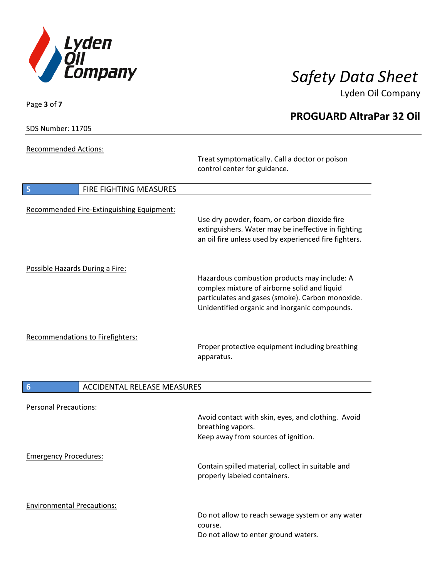

Lyden Oil Company

SDS Number: 11705

Page **3** of **7**

Recommended Actions:

Treat symptomatically. Call a doctor or poison control center for guidance.

| 5                               | <b>FIRE FIGHTING MEASURES</b>             |                                                                                                                                                                                                   |
|---------------------------------|-------------------------------------------|---------------------------------------------------------------------------------------------------------------------------------------------------------------------------------------------------|
|                                 | Recommended Fire-Extinguishing Equipment: | Use dry powder, foam, or carbon dioxide fire<br>extinguishers. Water may be ineffective in fighting<br>an oil fire unless used by experienced fire fighters.                                      |
| Possible Hazards During a Fire: |                                           | Hazardous combustion products may include: A<br>complex mixture of airborne solid and liquid<br>particulates and gases (smoke). Carbon monoxide.<br>Unidentified organic and inorganic compounds. |
|                                 | Recommendations to Firefighters:          | Proper protective equipment including breathing<br>apparatus.                                                                                                                                     |

# **6 ACCIDENTAL RELEASE MEASURES**

| <b>Personal Precautions:</b>      | Avoid contact with skin, eyes, and clothing. Avoid<br>breathing vapors.<br>Keep away from sources of ignition. |
|-----------------------------------|----------------------------------------------------------------------------------------------------------------|
| <b>Emergency Procedures:</b>      | Contain spilled material, collect in suitable and<br>properly labeled containers.                              |
| <b>Environmental Precautions:</b> | Do not allow to reach sewage system or any water<br>course.<br>Do not allow to enter ground waters.            |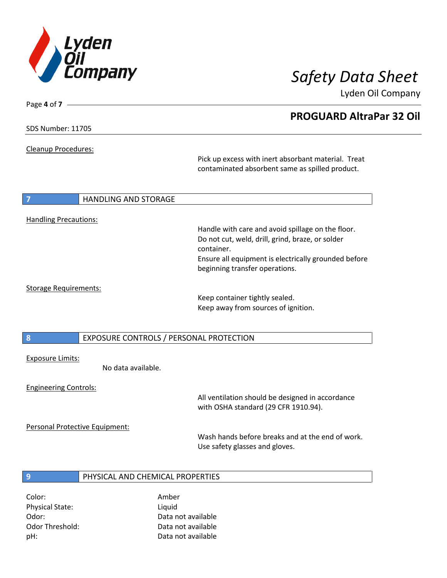

Lyden Oil Company

SDS Number: 11705

Page **4** of **7**

Cleanup Procedures:

Pick up excess with inert absorbant material. Treat contaminated absorbent same as spilled product.

### **7 HANDLING AND STORAGE**

### Handling Precautions:

Handle with care and avoid spillage on the floor. Do not cut, weld, drill, grind, braze, or solder container. Ensure all equipment is electrically grounded before beginning transfer operations.

### Storage Requirements:

Keep container tightly sealed. Keep away from sources of ignition.

**8** EXPOSURE CONTROLS / PERSONAL PROTECTION

### Exposure Limits:

No data available.

### Engineering Controls:

All ventilation should be designed in accordance with OSHA standard (29 CFR 1910.94).

Personal Protective Equipment:

Wash hands before breaks and at the end of work. Use safety glasses and gloves.

## **9** PHYSICAL AND CHEMICAL PROPERTIES

Color: Amber Physical State: Liquid

Odor: Data not available Odor Threshold: Data not available pH: Data not available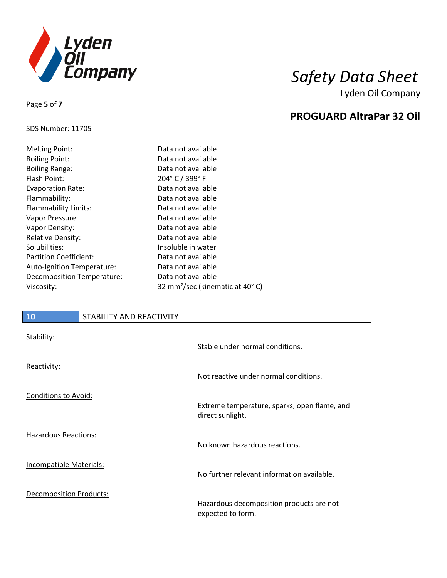

Lyden Oil Company

## SDS Number: 11705

Page **5** of **7**

| <b>Melting Point:</b>         | С  |
|-------------------------------|----|
| <b>Boiling Point:</b>         | C  |
| <b>Boiling Range:</b>         | C  |
| Flash Point:                  | 2  |
| <b>Evaporation Rate:</b>      | C  |
| Flammability:                 | C  |
| Flammability Limits:          | С  |
| Vapor Pressure:               | С  |
| Vapor Density:                | С  |
| <b>Relative Density:</b>      | С  |
| Solubilities:                 | Iı |
| <b>Partition Coefficient:</b> | С  |
| Auto-Ignition Temperature:    | C  |
| Decomposition Temperature:    | C  |
| Viscosity:                    | 3  |

# Data not available Data not available Data not available Puer C / 399° F Data not available Data not available Data not available Data not available Data not available Data not available nsoluble in water Data not available Data not available Data not available 12 mm<sup>2</sup>/sec (kinematic at 40°C)

### **10** STABILITY AND REACTIVITY

| Stability:                     | Stable under normal conditions.                                  |
|--------------------------------|------------------------------------------------------------------|
| Reactivity:                    | Not reactive under normal conditions.                            |
| <b>Conditions to Avoid:</b>    | Extreme temperature, sparks, open flame, and<br>direct sunlight. |
| <b>Hazardous Reactions:</b>    | No known hazardous reactions.                                    |
| <b>Incompatible Materials:</b> | No further relevant information available.                       |
| <b>Decomposition Products:</b> | Hazardous decomposition products are not<br>expected to form.    |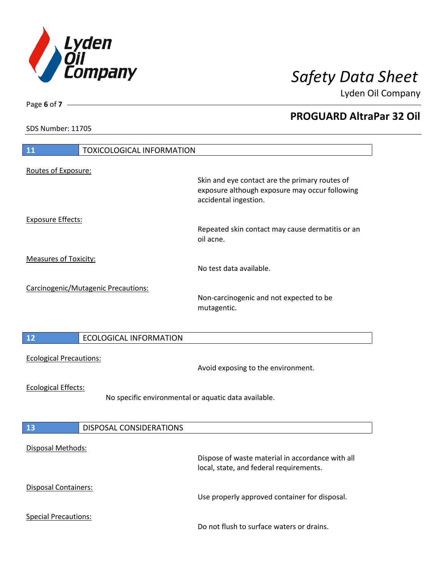

Lyden Oil Company

SDS Number: 11705

Page **6** of **7**

| <b>11</b><br><b>TOXICOLOGICAL INFORMATION</b> |                                                                                                                           |
|-----------------------------------------------|---------------------------------------------------------------------------------------------------------------------------|
| Routes of Exposure:                           |                                                                                                                           |
|                                               | Skin and eye contact are the primary routes of<br>exposure although exposure may occur following<br>accidental ingestion. |
| <b>Exposure Effects:</b>                      | Repeated skin contact may cause dermatitis or an<br>oil acne.                                                             |
| <b>Measures of Toxicity:</b>                  | No test data available.                                                                                                   |
| Carcinogenic/Mutagenic Precautions:           | Non-carcinogenic and not expected to be<br>mutagentic.                                                                    |
| 12<br><b>ECOLOGICAL INFORMATION</b>           |                                                                                                                           |
| <b>Ecological Precautions:</b>                | Avoid exposing to the environment.                                                                                        |
| <b>Ecological Effects:</b>                    | No specific environmental or aquatic data available.                                                                      |
| <b>DISPOSAL CONSIDERATIONS</b><br>13          |                                                                                                                           |
| Disposal Methods:                             | Dispose of waste material in accordance with all<br>local, state, and federal requirements.                               |
| Disposal Containers:                          | Use properly approved container for disposal.                                                                             |
| <b>Special Precautions:</b>                   | Do not flush to surface waters or drains.                                                                                 |